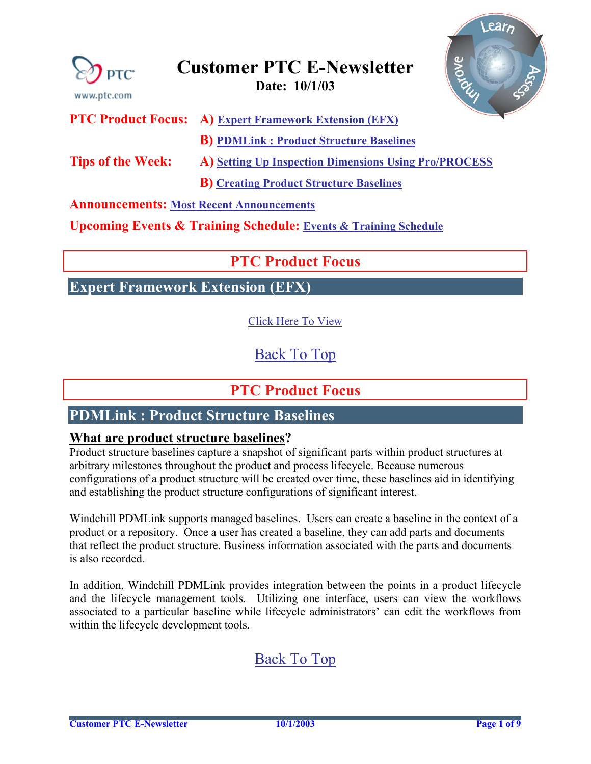<span id="page-0-0"></span>

**Announcements: [Most Recent Announcements](#page-7-0)** 

**Upcoming Events & Training Schedule: [Events & Training Schedule](#page-8-0)**

### **PTC Product Focus**

**B) [Creating Product Structure Baselines](#page-1-0)**

**Expert Framework Extension (EFX)** 

[Click Here To View](http://members.shaw.ca/jpeng/newsletter/Customer_PTC_E-Newsletter_10-1-2003_A.pdf)

[Back To Top](#page-0-0)

### **PTC Product Focus**

### **PDMLink : Product Structure Baselines**

### **What are product structure baselines?**

Product structure baselines capture a snapshot of significant parts within product structures at arbitrary milestones throughout the product and process lifecycle. Because numerous configurations of a product structure will be created over time, these baselines aid in identifying and establishing the product structure configurations of significant interest.

Windchill PDMLink supports managed baselines. Users can create a baseline in the context of a product or a repository. Once a user has created a baseline, they can add parts and documents that reflect the product structure. Business information associated with the parts and documents is also recorded.

In addition, Windchill PDMLink provides integration between the points in a product lifecycle and the lifecycle management tools. Utilizing one interface, users can view the workflows associated to a particular baseline while lifecycle administrators' can edit the workflows from within the lifecycle development tools.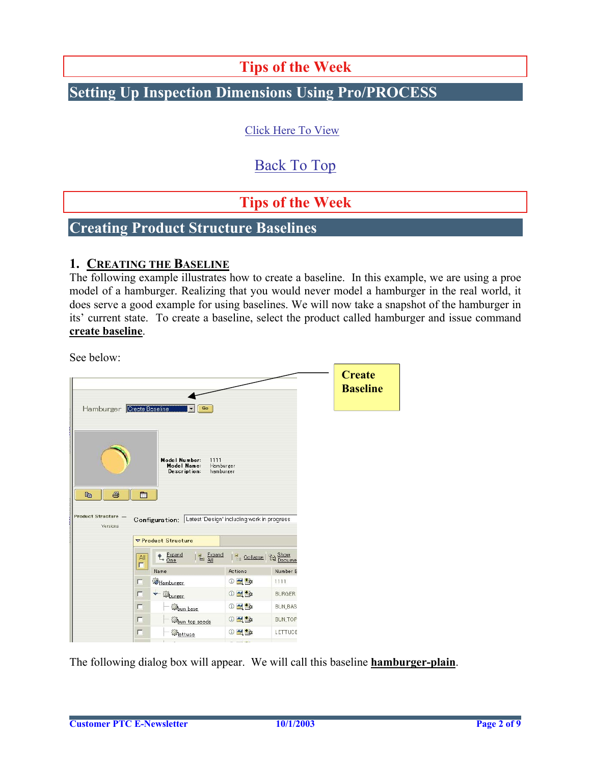**Tips of the Week**

## <span id="page-1-0"></span>**Setting Up Inspection Dimensions Using Pro/PROCESS**

[Click Here To View](http://members.shaw.ca/jpeng/newsletter/Customer_PTC_E-Newsletter_10-1-2003_A.pdf)

# [Back To Top](#page-0-0)

# **Tips of the Week**

### **Creating Product Structure Baselines**

#### **1. CREATING THE BASELINE**

The following example illustrates how to create a baseline. In this example, we are using a proe model of a hamburger. Realizing that you would never model a hamburger in the real world, it does serve a good example for using baselines. We will now take a snapshot of the hamburger in its' current state. To create a baseline, select the product called hamburger and issue command **create baseline**.

See below:

|                                           |          |                                                                                                                                             |                            |                | <b>Create</b><br><b>Baseline</b> |
|-------------------------------------------|----------|---------------------------------------------------------------------------------------------------------------------------------------------|----------------------------|----------------|----------------------------------|
| Hamburger Create Baseline                 |          | Go                                                                                                                                          |                            |                |                                  |
| 电<br>马<br>Product Structure -<br>Versions | m        | Model Number:<br>1111<br>Model Name:<br>Hamburger<br>Description:<br>hamburger<br>Configuration: Latest 'Design' including work in progress |                            |                |                                  |
|                                           |          | ▽ Product Structure                                                                                                                         |                            |                |                                  |
|                                           | All<br>п | $\underset{\longleftarrow}{\Leftrightarrow} \frac{\text{Expand}}{\text{One}}$<br>$\frac{1}{2}$ Expand                                       | <b>E</b> Collapse   2 Show |                |                                  |
|                                           |          | Name                                                                                                                                        | Actions                    | Number E       |                                  |
|                                           | г        | Hamburger                                                                                                                                   | <b>① 圣雪</b>                | 1111           |                                  |
|                                           | П        | $\leftarrow$ $\mathbb{Q}_{\text{burger}}$                                                                                                   | <b>0 台上</b>                | <b>BURGER</b>  |                                  |
|                                           | г        | <b>B</b> un base                                                                                                                            | <b>12日</b>                 | <b>BUN_BAS</b> |                                  |
|                                           | $\Gamma$ | <b>Boun top seeds</b>                                                                                                                       | <b>①全国</b>                 | <b>BUN_TOP</b> |                                  |
|                                           | п        | <b>Wettuce</b>                                                                                                                              | <b>10 景野</b>               | <b>LETTUCE</b> |                                  |
|                                           |          |                                                                                                                                             |                            |                |                                  |

The following dialog box will appear. We will call this baseline **hamburger-plain**.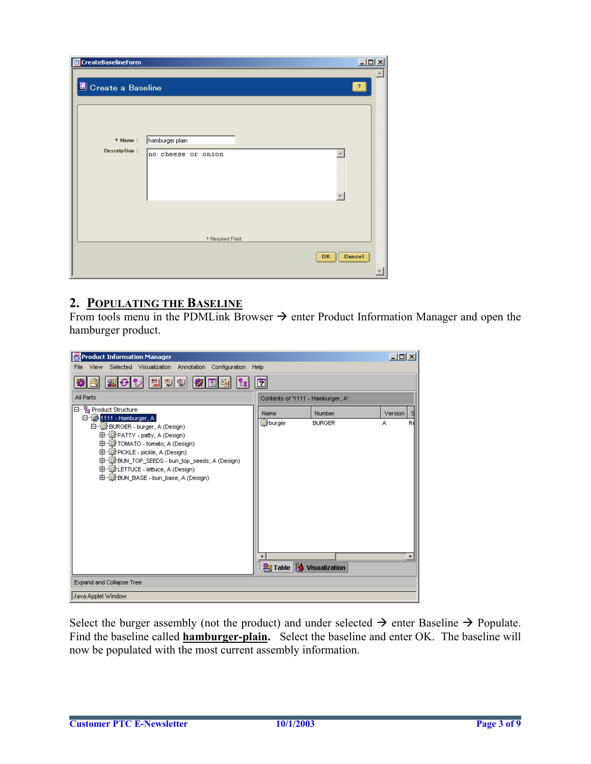| <b>画</b> CreateBaselineForm |                    | $\Box$ D $\times$   |
|-----------------------------|--------------------|---------------------|
| <b>E</b> Create a Baseline  |                    | $\overline{?}$      |
|                             |                    |                     |
|                             |                    |                     |
| * Name:                     | hamburger plain    |                     |
| <b>Description:</b>         | no cheese or onion |                     |
|                             |                    |                     |
|                             |                    |                     |
|                             |                    |                     |
|                             |                    |                     |
|                             |                    |                     |
|                             | * Required Field   |                     |
|                             |                    |                     |
|                             |                    | Cancel<br><b>OK</b> |
|                             |                    |                     |

### **2. POPULATING THE BASELINE**

From tools menu in the PDMLink Browser  $\rightarrow$  enter Product Information Manager and open the hamburger product.

| Product Information Manager                                                                                                                                                                                                                                                                                                        |                                   |                         | $\Box$ $\Box$ $\times$ |         |
|------------------------------------------------------------------------------------------------------------------------------------------------------------------------------------------------------------------------------------------------------------------------------------------------------------------------------------|-----------------------------------|-------------------------|------------------------|---------|
| Selected Visualization Annotation Configuration<br>File<br>View                                                                                                                                                                                                                                                                    | Help                              |                         |                        |         |
| 방행행<br>$\Theta$ %<br>$\boldsymbol{z}$<br>畕<br>圈<br><sup>B</sup> U                                                                                                                                                                                                                                                                  | 団                                 |                         |                        |         |
| All Parts                                                                                                                                                                                                                                                                                                                          | Contents of '1111 - Hamburger, A' |                         |                        |         |
| 日 ·· Pe Product Structure<br>1111 - Hamburger, A<br>白 - (B BURGER - burger, A (Design)<br>中 @ PATTY - patty, A (Design)<br>中-鎮 TOMATO - tomato, A (Design)<br>由 -- (B) PICKLE - pickle, A (Design)<br>中 《 BUN_TOP_SEEDS - bun_top_seeds, A (Design)<br>由 -- ( LETTUCE - lettuce, A (Design)<br>由 @ BUN_BASE - bun_base, A (Design) | Name<br><b>B</b> burger           | Number<br><b>BURGER</b> | Version<br>А           | -S<br>R |
|                                                                                                                                                                                                                                                                                                                                    | Table 1 Visualization             |                         |                        |         |
| Expand and Collapse Tree                                                                                                                                                                                                                                                                                                           |                                   |                         |                        |         |
| Java Applet Window                                                                                                                                                                                                                                                                                                                 |                                   |                         |                        |         |

Select the burger assembly (not the product) and under selected  $\rightarrow$  enter Baseline  $\rightarrow$  Populate. Find the baseline called **hamburger-plain.** Select the baseline and enter OK. The baseline will now be populated with the most current assembly information.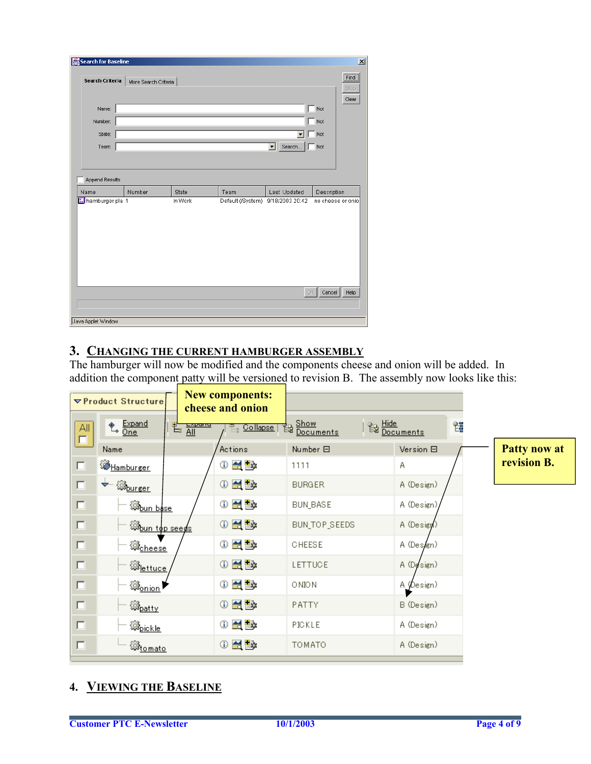| Search for Baseline |                      |         |                   |                 | $\vert x \vert$                             |
|---------------------|----------------------|---------|-------------------|-----------------|---------------------------------------------|
| Search Criteria     | More Search Criteria |         |                   |                 | Find<br>Stop<br>Clear                       |
| Name:               |                      |         |                   |                 | Not                                         |
| Number:             |                      |         |                   |                 | Not                                         |
| State:              |                      |         |                   |                 | Not                                         |
| Team:               |                      |         |                   | Search<br>▼     | Not                                         |
|                     |                      |         |                   |                 |                                             |
| Append Results      |                      |         |                   |                 |                                             |
| Name                | Number               | State   | Team              | Last Updated    | Description                                 |
| hamburger pla 1     |                      | In Work | Default (/System) | 9/18/2003 20:42 | no cheese or onio<br>Cancel<br>OK  <br>Help |
|                     |                      |         |                   |                 |                                             |
| Java Applet Window  |                      |         |                   |                 |                                             |

### **3. CHANGING THE CURRENT HAMBURGER ASSEMBLY**

The hamburger will now be modified and the components cheese and onion will be added. In addition the component patty will be versioned to revision B. The assembly now looks like this:

|               | ▽ Product Structure                                                                                                             | <b>New components:</b><br>cheese and onion |                                                |                                  |  |
|---------------|---------------------------------------------------------------------------------------------------------------------------------|--------------------------------------------|------------------------------------------------|----------------------------------|--|
| All<br>$\Box$ | $\begin{array}{c} \bigcircledast_{\mathbf{p}} \xrightarrow{\mathsf{Expand}} \\ \hline \mathsf{One} \end{array}$<br>ᄩ <u>ᆸᅁᆒ</u> | Collapse                                   | d <sub>B</sub> Show<br><sup>ED</sup> Documents | <b>图</b> Hide<br>Bocuments<br>얞  |  |
|               | Name                                                                                                                            | Actions                                    | Number 曰                                       | Version <b>E</b><br>Patty now at |  |
| $\Box$        | <u> ZHamburger</u>                                                                                                              | +® ¥                                       | 1111                                           | revision B.<br>A.                |  |
| $\Box$        | $\overleftarrow{\bigoplus_{\text{burger}}}$                                                                                     | $0$ $\leq$ $\geq$                          | <b>BURGER</b>                                  | A (Design)                       |  |
| $\Box$        | A <u>bun base</u>                                                                                                               | $0$ $\mathbb{Z}$ be                        | BUN_BASE                                       | A (Design)                       |  |
| $\Box$        | <b><i>Chun</i></b> top seeds                                                                                                    | $0$ $\leq$ $\leq$                          | BUN_TOP_SEEDS                                  | A (Design)                       |  |
| $\Box$        | <b>O</b> cheese                                                                                                                 | ◑ख़ॾ                                       | CHEESE                                         | A (Design)                       |  |
| $\Box$        | <b><i><u> Mettuce</u></i></b>                                                                                                   | $0$ $\leq$ $\geq$                          | LETTUCE                                        | A (Design)                       |  |
| $\Box$        | ® <sub>onion</sub> ▶                                                                                                            | ◑ख़⋭                                       | ONION                                          | A (Design)                       |  |
| $\Box$        | @ <sub>patty</sub>                                                                                                              | ⊙₩⊪                                        | PATTY.                                         | B (Design)                       |  |
| $\Box$        | 德 <sub>pickle</sub>                                                                                                             | ⊕₩                                         | PICKLE                                         | A (Design)                       |  |
| $\Box$        | <b>D</b> <sub>tomato</sub>                                                                                                      | ⊙₩₩                                        | <b>TOMATO</b>                                  | A (Design)                       |  |

### **4. VIEWING THE BASELINE**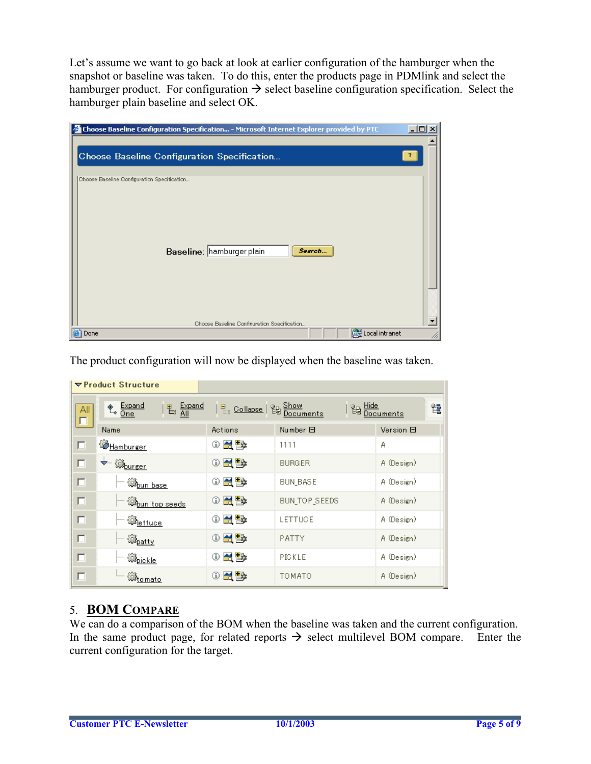Let's assume we want to go back at look at earlier configuration of the hamburger when the snapshot or baseline was taken. To do this, enter the products page in PDMlink and select the hamburger product. For configuration  $\rightarrow$  select baseline configuration specification. Select the hamburger plain baseline and select OK.

| <b>Choose Baseline Configuration Specification - Microsoft Internet Explorer provided by PTC</b> | $ \Box$ $\times$ |
|--------------------------------------------------------------------------------------------------|------------------|
|                                                                                                  |                  |
| Choose Baseline Configuration Specification                                                      |                  |
|                                                                                                  |                  |
| Choose Baseline Configuration Specification<br>Baseline: hamburger plain<br>Search               |                  |
| Choose Baseline Configuration Specification                                                      |                  |
| de Local intranet<br>Done                                                                        |                  |

The product configuration will now be displayed when the baseline was taken.

|          | $\nabla$ Product Structure                |                            |                 |                        |
|----------|-------------------------------------------|----------------------------|-----------------|------------------------|
| All<br>Г | † Expand<br>Expand<br>All<br>电            | <b>E</b> Collapse   2 Show | 留               | Hide<br>Documents<br>鼀 |
|          | Name                                      | Actions                    | Number 曰        | Version 曰              |
| п        | <b>X</b> Hamburger                        | 적 Ex<br>⊕                  | 1111            | А                      |
| п        | $\leftarrow$ $\mathbb{Q}_{\text{burger}}$ | ⊙₩₩                        | <b>BURGER</b>   | A (Design)             |
| $\Box$   | <u> B<sub>oun base</sub></u>              | 적 Ex<br>⊕                  | <b>BUN BASE</b> | A (Design)             |
| п        | <b>Expun top seeds</b>                    | ⊙₩₩                        | BUN_TOP_SEEDS   | A (Design)             |
| п        | 郄 <sub>lettuce</sub>                      | 仅ē×<br>Ф                   | LETTUCE         | A (Design)             |
| п        | <b>B</b> <sub>patty</sub>                 | 없다<br>⊕                    | PATTY           | A (Design)             |
| п        | B <sub>pickle</sub>                       | 쯙<br>⊕                     | PICKLE          | A (Design)             |
| п        | <u> D<sub>tomato</sub></u>                | 最快<br>Φ                    | TOMATO          | A (Design)             |

### 5. **BOM COMPARE**

We can do a comparison of the BOM when the baseline was taken and the current configuration. In the same product page, for related reports  $\rightarrow$  select multilevel BOM compare. Enter the current configuration for the target.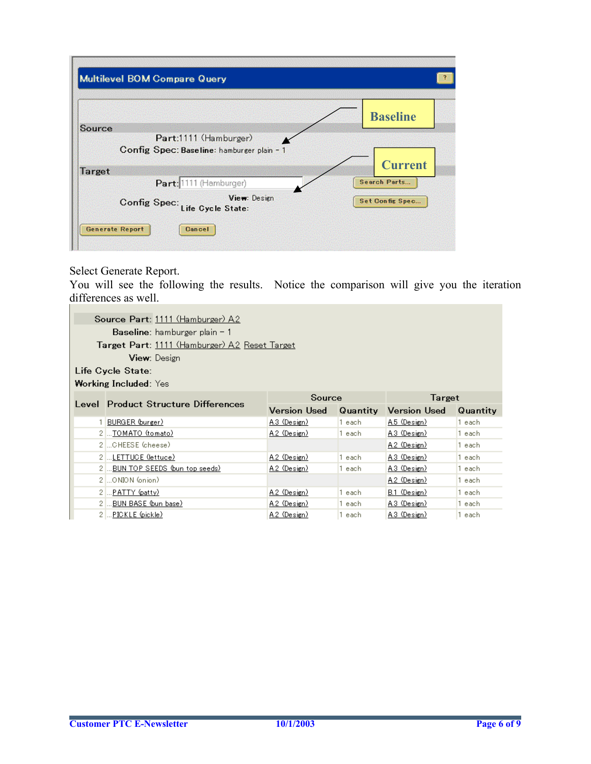|               |                                                | <b>Baseline</b>        |
|---------------|------------------------------------------------|------------------------|
| Source        | Part:1111 (Hamburger)                          |                        |
|               | Config Spec: Baseline: hamburger plain - 1     | <b>Current</b>         |
| <b>Target</b> |                                                |                        |
|               | Part: 1111 (Hamburger)                         | <b>Search Parts</b>    |
|               | View: Design<br>Config Spec: Life Cycle State: | <b>Set Config Spec</b> |

#### Select Generate Report.

You will see the following the results. Notice the comparison will give you the iteration differences as well. ۰

| Source Part: 1111 (Hamburger) A2              |                     |          |                     |          |
|-----------------------------------------------|---------------------|----------|---------------------|----------|
|                                               |                     |          |                     |          |
| <b>Baseline</b> : hamburger plain $-1$        |                     |          |                     |          |
| Target Part: 1111 (Hamburger) A2 Reset Target |                     |          |                     |          |
| <b>View:</b> Design                           |                     |          |                     |          |
| Life Cycle State:                             |                     |          |                     |          |
| <b>Working Included:</b> Yes                  |                     |          |                     |          |
|                                               | Source              |          | Target              |          |
| Level Product Structure Differences           | <b>Version Used</b> | Quantity | <b>Version Used</b> | Quantity |
| BURGER (burger)                               | A.3 (Design)        | 1 each   | A.5 (Design)        | 1 each   |
| 2 TOMATO (tomato)                             | A.2 (Design)        | 1 each   | A.3 (Design)        | 1 each   |
| 2  CHEESE (cheese)                            |                     |          | A.2 (Design)        | 1 each   |
| 2  LETTUCE (lettuce)                          | A.2 (Design)        | 1 each   | A.3 (Design)        | 1 each   |
| 2  BUN TOP SEEDS (bun top seeds)              | A.2 (Design)        | 1 each   | A.3 (Design)        | 1 each   |
| 2  ONION (onion)                              |                     |          | A.2 (Design)        | 1 each   |
| 2  PATTY (patty)                              | A.2 (Design)        | 1 each   | B.1 (Design)        | 1 each   |
| 2 BUN BASE (bun base)                         | A.2 (Design)        | 1 each   | A.3 (Design)        | 1 each   |
|                                               |                     |          |                     |          |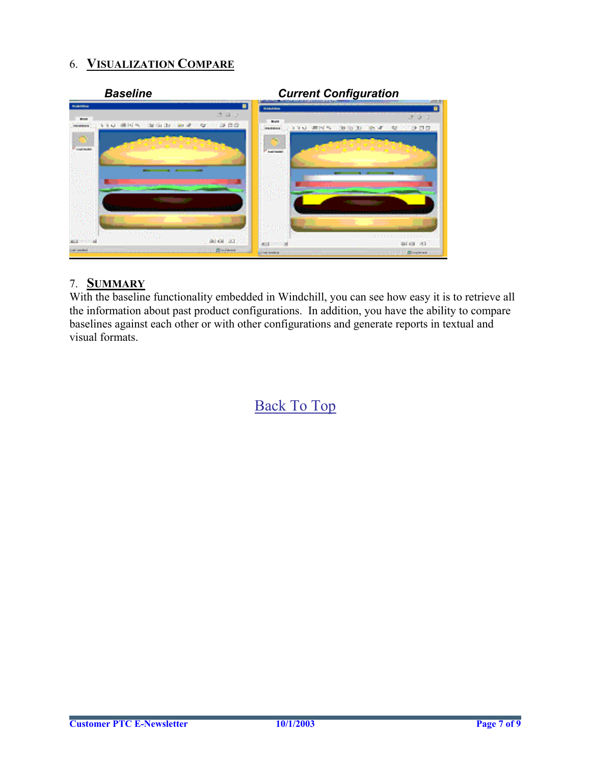### 6. **VISUALIZATION COMPARE**



### 7. **SUMMARY**

With the baseline functionality embedded in Windchill, you can see how easy it is to retrieve all the information about past product configurations. In addition, you have the ability to compare baselines against each other or with other configurations and generate reports in textual and visual formats.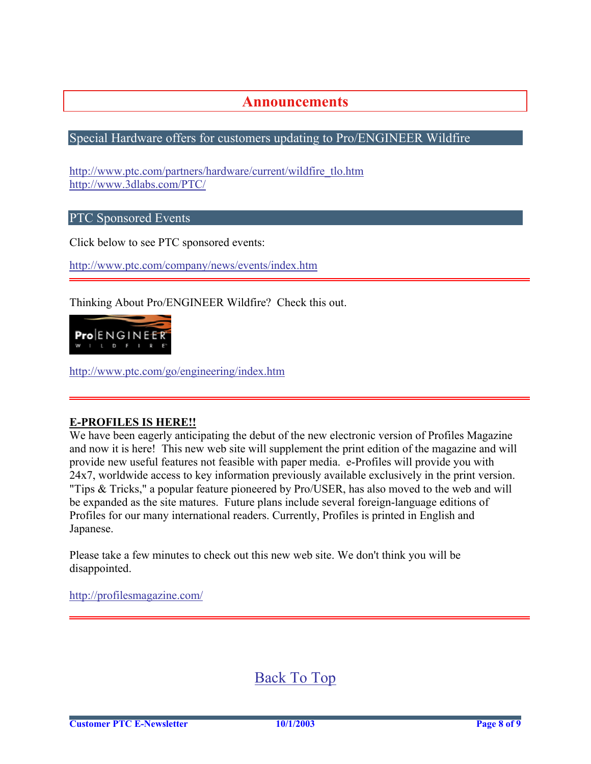### **Announcements**

#### <span id="page-7-0"></span>Special Hardware offers for customers updating to Pro/ENGINEER Wildfire

[http://www.ptc.com/partners/hardware/current/wildfire\\_tlo.htm](http://www.ptc.com/partners/hardware/current/wildfire_tlo.htm)  <http://www.3dlabs.com/PTC/>

PTC Sponsored Events

Click below to see PTC sponsored events:

<http://www.ptc.com/company/news/events/index.htm>

Thinking About Pro/ENGINEER Wildfire? Check this out.



<http://www.ptc.com/go/engineering/index.htm>

#### **E-PROFILES IS HERE!!**

We have been eagerly anticipating the debut of the new electronic version of Profiles Magazine and now it is here! This new web site will supplement the print edition of the magazine and will provide new useful features not feasible with paper media. e-Profiles will provide you with 24x7, worldwide access to key information previously available exclusively in the print version. "Tips & Tricks," a popular feature pioneered by Pro/USER, has also moved to the web and will be expanded as the site matures. Future plans include several foreign-language editions of Profiles for our many international readers. Currently, Profiles is printed in English and Japanese.

Please take a few minutes to check out this new web site. We don't think you will be disappointed.

<http://profilesmagazine.com/>